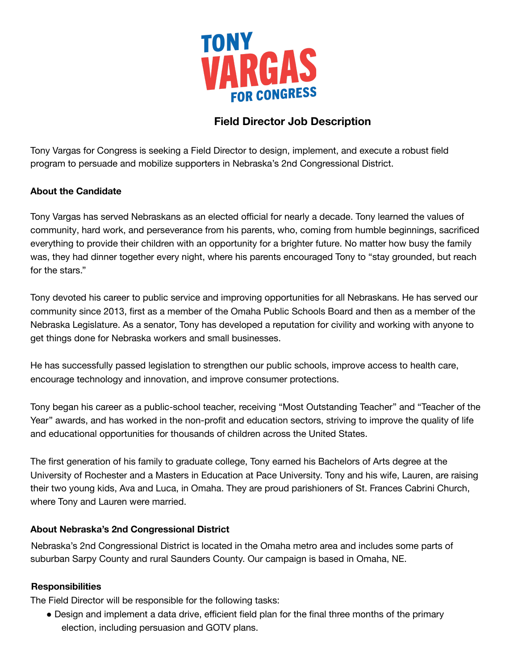

# **Field Director Job Description**

Tony Vargas for Congress is seeking a Field Director to design, implement, and execute a robust field program to persuade and mobilize supporters in Nebraska's 2nd Congressional District.

### **About the Candidate**

Tony Vargas has served Nebraskans as an elected official for nearly a decade. Tony learned the values of community, hard work, and perseverance from his parents, who, coming from humble beginnings, sacrificed everything to provide their children with an opportunity for a brighter future. No matter how busy the family was, they had dinner together every night, where his parents encouraged Tony to "stay grounded, but reach for the stars."

Tony devoted his career to public service and improving opportunities for all Nebraskans. He has served our community since 2013, first as a member of the Omaha Public Schools Board and then as a member of the Nebraska Legislature. As a senator, Tony has developed a reputation for civility and working with anyone to get things done for Nebraska workers and small businesses.

He has successfully passed legislation to strengthen our public schools, improve access to health care, encourage technology and innovation, and improve consumer protections.

Tony began his career as a public-school teacher, receiving "Most Outstanding Teacher" and "Teacher of the Year" awards, and has worked in the non-profit and education sectors, striving to improve the quality of life and educational opportunities for thousands of children across the United States.

The first generation of his family to graduate college, Tony earned his Bachelors of Arts degree at the University of Rochester and a Masters in Education at Pace University. Tony and his wife, Lauren, are raising their two young kids, Ava and Luca, in Omaha. They are proud parishioners of St. Frances Cabrini Church, where Tony and Lauren were married.

### **About Nebraska's 2nd Congressional District**

Nebraska's 2nd Congressional District is located in the Omaha metro area and includes some parts of suburban Sarpy County and rural Saunders County. Our campaign is based in Omaha, NE.

#### **Responsibilities**

The Field Director will be responsible for the following tasks:

● Design and implement a data drive, efficient field plan for the final three months of the primary election, including persuasion and GOTV plans.